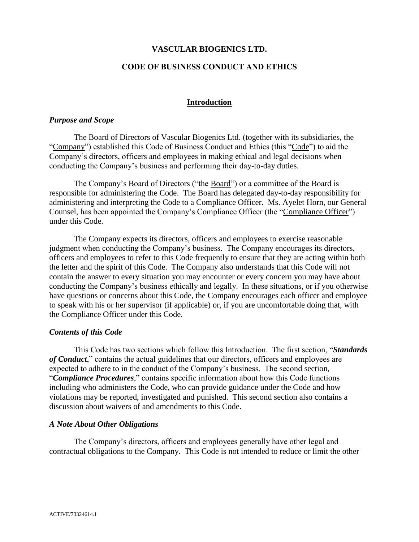## **VASCULAR BIOGENICS LTD.**

### **CODE OF BUSINESS CONDUCT AND ETHICS**

#### **Introduction**

#### *Purpose and Scope*

The Board of Directors of Vascular Biogenics Ltd. (together with its subsidiaries, the "Company") established this Code of Business Conduct and Ethics (this "Code") to aid the Company's directors, officers and employees in making ethical and legal decisions when conducting the Company's business and performing their day-to-day duties.

The Company's Board of Directors ("the Board") or a committee of the Board is responsible for administering the Code. The Board has delegated day-to-day responsibility for administering and interpreting the Code to a Compliance Officer. Ms. Ayelet Horn, our General Counsel, has been appointed the Company's Compliance Officer (the "Compliance Officer") under this Code.

The Company expects its directors, officers and employees to exercise reasonable judgment when conducting the Company's business. The Company encourages its directors, officers and employees to refer to this Code frequently to ensure that they are acting within both the letter and the spirit of this Code. The Company also understands that this Code will not contain the answer to every situation you may encounter or every concern you may have about conducting the Company's business ethically and legally. In these situations, or if you otherwise have questions or concerns about this Code, the Company encourages each officer and employee to speak with his or her supervisor (if applicable) or, if you are uncomfortable doing that, with the Compliance Officer under this Code.

#### *Contents of this Code*

This Code has two sections which follow this Introduction. The first section, "*Standards of Conduct*," contains the actual guidelines that our directors, officers and employees are expected to adhere to in the conduct of the Company's business. The second section, "*Compliance Procedures*," contains specific information about how this Code functions including who administers the Code, who can provide guidance under the Code and how violations may be reported, investigated and punished. This second section also contains a discussion about waivers of and amendments to this Code.

#### *A Note About Other Obligations*

The Company's directors, officers and employees generally have other legal and contractual obligations to the Company. This Code is not intended to reduce or limit the other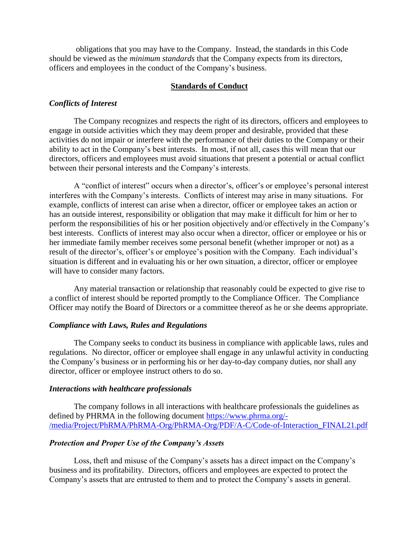obligations that you may have to the Company. Instead, the standards in this Code should be viewed as the *minimum standards* that the Company expects from its directors, officers and employees in the conduct of the Company's business.

## **Standards of Conduct**

### *Conflicts of Interest*

The Company recognizes and respects the right of its directors, officers and employees to engage in outside activities which they may deem proper and desirable, provided that these activities do not impair or interfere with the performance of their duties to the Company or their ability to act in the Company's best interests. In most, if not all, cases this will mean that our directors, officers and employees must avoid situations that present a potential or actual conflict between their personal interests and the Company's interests.

A "conflict of interest" occurs when a director's, officer's or employee's personal interest interferes with the Company's interests. Conflicts of interest may arise in many situations. For example, conflicts of interest can arise when a director, officer or employee takes an action or has an outside interest, responsibility or obligation that may make it difficult for him or her to perform the responsibilities of his or her position objectively and/or effectively in the Company's best interests. Conflicts of interest may also occur when a director, officer or employee or his or her immediate family member receives some personal benefit (whether improper or not) as a result of the director's, officer's or employee's position with the Company. Each individual's situation is different and in evaluating his or her own situation, a director, officer or employee will have to consider many factors.

Any material transaction or relationship that reasonably could be expected to give rise to a conflict of interest should be reported promptly to the Compliance Officer. The Compliance Officer may notify the Board of Directors or a committee thereof as he or she deems appropriate.

### *Compliance with Laws, Rules and Regulations*

The Company seeks to conduct its business in compliance with applicable laws, rules and regulations. No director, officer or employee shall engage in any unlawful activity in conducting the Company's business or in performing his or her day-to-day company duties, nor shall any director, officer or employee instruct others to do so.

#### *Interactions with healthcare professionals*

The company follows in all interactions with healthcare professionals the guidelines as defined by PHRMA in the following document [https://www.phrma.org/-](https://eur03.safelinks.protection.outlook.com/?url=https%3A%2F%2Fwww.phrma.org%2F-%2Fmedia%2FProject%2FPhRMA%2FPhRMA-Org%2FPhRMA-Org%2FPDF%2FA-C%2FCode-of-Interaction_FINAL21.pdf&data=04%7C01%7Cnoa%40vblrx.com%7Ca6db2ddce3a743394f3d08d8dbddcc53%7Ccfaafd9b5767400595acc32a981ae615%7C0%7C0%7C637501092968313567%7CUnknown%7CTWFpbGZsb3d8eyJWIjoiMC4wLjAwMDAiLCJQIjoiV2luMzIiLCJBTiI6Ik1haWwiLCJXVCI6Mn0%3D%7C1000&sdata=d6LcQbayJJGGms4n0wr4t0cePwzNeV%2FwJt5wWa3P790%3D&reserved=0) [/media/Project/PhRMA/PhRMA-Org/PhRMA-Org/PDF/A-C/Code-of-Interaction\\_FINAL21.pdf](https://eur03.safelinks.protection.outlook.com/?url=https%3A%2F%2Fwww.phrma.org%2F-%2Fmedia%2FProject%2FPhRMA%2FPhRMA-Org%2FPhRMA-Org%2FPDF%2FA-C%2FCode-of-Interaction_FINAL21.pdf&data=04%7C01%7Cnoa%40vblrx.com%7Ca6db2ddce3a743394f3d08d8dbddcc53%7Ccfaafd9b5767400595acc32a981ae615%7C0%7C0%7C637501092968313567%7CUnknown%7CTWFpbGZsb3d8eyJWIjoiMC4wLjAwMDAiLCJQIjoiV2luMzIiLCJBTiI6Ik1haWwiLCJXVCI6Mn0%3D%7C1000&sdata=d6LcQbayJJGGms4n0wr4t0cePwzNeV%2FwJt5wWa3P790%3D&reserved=0)

### *Protection and Proper Use of the Company's Assets*

Loss, theft and misuse of the Company's assets has a direct impact on the Company's business and its profitability. Directors, officers and employees are expected to protect the Company's assets that are entrusted to them and to protect the Company's assets in general.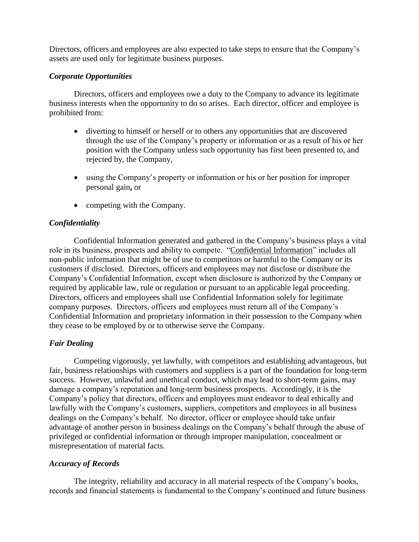Directors, officers and employees are also expected to take steps to ensure that the Company's assets are used only for legitimate business purposes.

# *Corporate Opportunities*

Directors, officers and employees owe a duty to the Company to advance its legitimate business interests when the opportunity to do so arises. Each director, officer and employee is prohibited from:

- diverting to himself or herself or to others any opportunities that are discovered through the use of the Company's property or information or as a result of his or her position with the Company unless such opportunity has first been presented to, and rejected by, the Company,
- using the Company's property or information or his or her position for improper personal gain**,** or
- competing with the Company.

# *Confidentiality*

Confidential Information generated and gathered in the Company's business plays a vital role in its business, prospects and ability to compete. "Confidential Information" includes all non-public information that might be of use to competitors or harmful to the Company or its customers if disclosed. Directors, officers and employees may not disclose or distribute the Company's Confidential Information, except when disclosure is authorized by the Company or required by applicable law, rule or regulation or pursuant to an applicable legal proceeding. Directors, officers and employees shall use Confidential Information solely for legitimate company purposes. Directors, officers and employees must return all of the Company's Confidential Information and proprietary information in their possession to the Company when they cease to be employed by or to otherwise serve the Company.

# *Fair Dealing*

Competing vigorously, yet lawfully, with competitors and establishing advantageous, but fair, business relationships with customers and suppliers is a part of the foundation for long-term success. However, unlawful and unethical conduct, which may lead to short-term gains, may damage a company's reputation and long-term business prospects. Accordingly, it is the Company's policy that directors, officers and employees must endeavor to deal ethically and lawfully with the Company's customers, suppliers, competitors and employees in all business dealings on the Company's behalf. No director, officer or employee should take unfair advantage of another person in business dealings on the Company's behalf through the abuse of privileged or confidential information or through improper manipulation, concealment or misrepresentation of material facts.

# *Accuracy of Records*

The integrity, reliability and accuracy in all material respects of the Company's books, records and financial statements is fundamental to the Company's continued and future business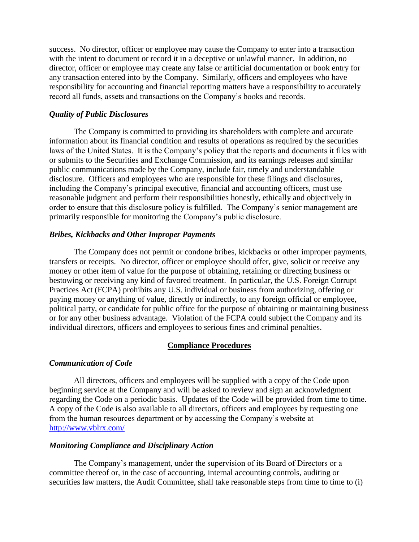success. No director, officer or employee may cause the Company to enter into a transaction with the intent to document or record it in a deceptive or unlawful manner. In addition, no director, officer or employee may create any false or artificial documentation or book entry for any transaction entered into by the Company. Similarly, officers and employees who have responsibility for accounting and financial reporting matters have a responsibility to accurately record all funds, assets and transactions on the Company's books and records.

### *Quality of Public Disclosures*

The Company is committed to providing its shareholders with complete and accurate information about its financial condition and results of operations as required by the securities laws of the United States. It is the Company's policy that the reports and documents it files with or submits to the Securities and Exchange Commission, and its earnings releases and similar public communications made by the Company, include fair, timely and understandable disclosure. Officers and employees who are responsible for these filings and disclosures, including the Company's principal executive, financial and accounting officers, must use reasonable judgment and perform their responsibilities honestly, ethically and objectively in order to ensure that this disclosure policy is fulfilled. The Company's senior management are primarily responsible for monitoring the Company's public disclosure.

## *Bribes, Kickbacks and Other Improper Payments*

The Company does not permit or condone bribes, kickbacks or other improper payments, transfers or receipts. No director, officer or employee should offer, give, solicit or receive any money or other item of value for the purpose of obtaining, retaining or directing business or bestowing or receiving any kind of favored treatment. In particular, the U.S. Foreign Corrupt Practices Act (FCPA) prohibits any U.S. individual or business from authorizing, offering or paying money or anything of value, directly or indirectly, to any foreign official or employee, political party, or candidate for public office for the purpose of obtaining or maintaining business or for any other business advantage. Violation of the FCPA could subject the Company and its individual directors, officers and employees to serious fines and criminal penalties.

### **Compliance Procedures**

### *Communication of Code*

All directors, officers and employees will be supplied with a copy of the Code upon beginning service at the Company and will be asked to review and sign an acknowledgment regarding the Code on a periodic basis. Updates of the Code will be provided from time to time. A copy of the Code is also available to all directors, officers and employees by requesting one from the human resources department or by accessing the Company's website at <http://www.vblrx.com/>

## *Monitoring Compliance and Disciplinary Action*

The Company's management, under the supervision of its Board of Directors or a committee thereof or, in the case of accounting, internal accounting controls, auditing or securities law matters, the Audit Committee, shall take reasonable steps from time to time to (i)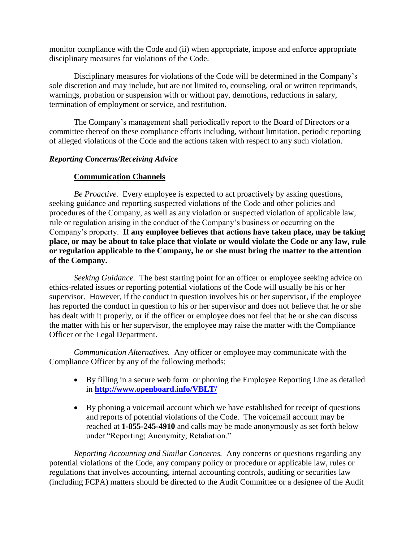monitor compliance with the Code and (ii) when appropriate, impose and enforce appropriate disciplinary measures for violations of the Code.

Disciplinary measures for violations of the Code will be determined in the Company's sole discretion and may include, but are not limited to, counseling, oral or written reprimands, warnings, probation or suspension with or without pay, demotions, reductions in salary, termination of employment or service, and restitution.

The Company's management shall periodically report to the Board of Directors or a committee thereof on these compliance efforts including, without limitation, periodic reporting of alleged violations of the Code and the actions taken with respect to any such violation.

# *Reporting Concerns/Receiving Advice*

# **Communication Channels**

*Be Proactive.* Every employee is expected to act proactively by asking questions, seeking guidance and reporting suspected violations of the Code and other policies and procedures of the Company, as well as any violation or suspected violation of applicable law, rule or regulation arising in the conduct of the Company's business or occurring on the Company's property. **If any employee believes that actions have taken place, may be taking place, or may be about to take place that violate or would violate the Code or any law, rule or regulation applicable to the Company, he or she must bring the matter to the attention of the Company.**

*Seeking Guidance.* The best starting point for an officer or employee seeking advice on ethics-related issues or reporting potential violations of the Code will usually be his or her supervisor. However, if the conduct in question involves his or her supervisor, if the employee has reported the conduct in question to his or her supervisor and does not believe that he or she has dealt with it properly, or if the officer or employee does not feel that he or she can discuss the matter with his or her supervisor, the employee may raise the matter with the Compliance Officer or the Legal Department.

*Communication Alternatives.* Any officer or employee may communicate with the Compliance Officer by any of the following methods:

- By filling in a secure web form or phoning the Employee Reporting Line as detailed in **<http://www.openboard.info/VBLT/>**
- By phoning a voicemail account which we have established for receipt of questions and reports of potential violations of the Code. The voicemail account may be reached at **1-855-245-4910** and calls may be made anonymously as set forth below under "Reporting; Anonymity; Retaliation."

*Reporting Accounting and Similar Concerns.* Any concerns or questions regarding any potential violations of the Code, any company policy or procedure or applicable law, rules or regulations that involves accounting, internal accounting controls, auditing or securities law (including FCPA) matters should be directed to the Audit Committee or a designee of the Audit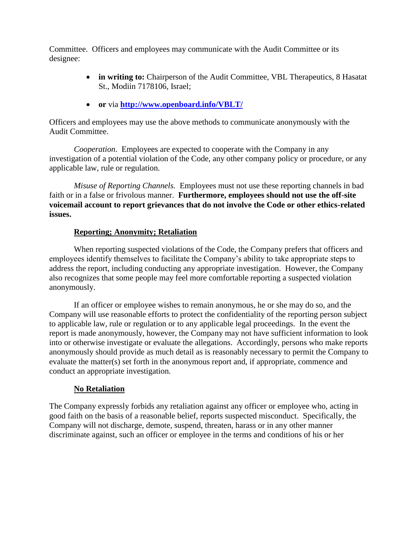Committee. Officers and employees may communicate with the Audit Committee or its designee:

- **in writing to:** Chairperson of the Audit Committee, VBL Therapeutics, 8 Hasatat St., Modiin 7178106, Israel;
- **or** via **<http://www.openboard.info/VBLT/>**

Officers and employees may use the above methods to communicate anonymously with the Audit Committee.

*Cooperation*. Employees are expected to cooperate with the Company in any investigation of a potential violation of the Code, any other company policy or procedure, or any applicable law, rule or regulation.

*Misuse of Reporting Channels.* Employees must not use these reporting channels in bad faith or in a false or frivolous manner. **Furthermore, employees should not use the off-site voicemail account to report grievances that do not involve the Code or other ethics-related issues.**

# **Reporting; Anonymity; Retaliation**

When reporting suspected violations of the Code, the Company prefers that officers and employees identify themselves to facilitate the Company's ability to take appropriate steps to address the report, including conducting any appropriate investigation. However, the Company also recognizes that some people may feel more comfortable reporting a suspected violation anonymously.

If an officer or employee wishes to remain anonymous, he or she may do so, and the Company will use reasonable efforts to protect the confidentiality of the reporting person subject to applicable law, rule or regulation or to any applicable legal proceedings. In the event the report is made anonymously, however, the Company may not have sufficient information to look into or otherwise investigate or evaluate the allegations. Accordingly, persons who make reports anonymously should provide as much detail as is reasonably necessary to permit the Company to evaluate the matter(s) set forth in the anonymous report and, if appropriate, commence and conduct an appropriate investigation.

# **No Retaliation**

The Company expressly forbids any retaliation against any officer or employee who, acting in good faith on the basis of a reasonable belief, reports suspected misconduct. Specifically, the Company will not discharge, demote, suspend, threaten, harass or in any other manner discriminate against, such an officer or employee in the terms and conditions of his or her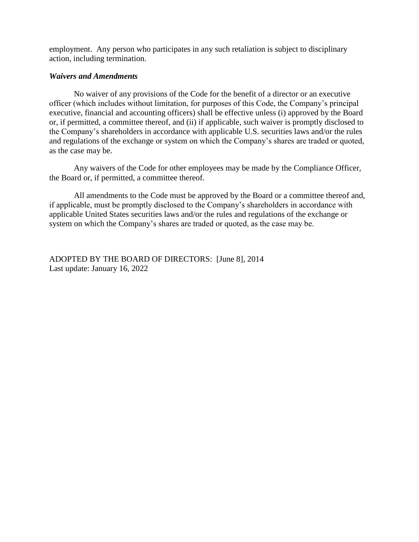employment. Any person who participates in any such retaliation is subject to disciplinary action, including termination.

### *Waivers and Amendments*

No waiver of any provisions of the Code for the benefit of a director or an executive officer (which includes without limitation, for purposes of this Code, the Company's principal executive, financial and accounting officers) shall be effective unless (i) approved by the Board or, if permitted, a committee thereof, and (ii) if applicable, such waiver is promptly disclosed to the Company's shareholders in accordance with applicable U.S. securities laws and/or the rules and regulations of the exchange or system on which the Company's shares are traded or quoted, as the case may be.

Any waivers of the Code for other employees may be made by the Compliance Officer, the Board or, if permitted, a committee thereof.

All amendments to the Code must be approved by the Board or a committee thereof and, if applicable, must be promptly disclosed to the Company's shareholders in accordance with applicable United States securities laws and/or the rules and regulations of the exchange or system on which the Company's shares are traded or quoted, as the case may be.

ADOPTED BY THE BOARD OF DIRECTORS: [June 8], 2014 Last update: January 16, 2022